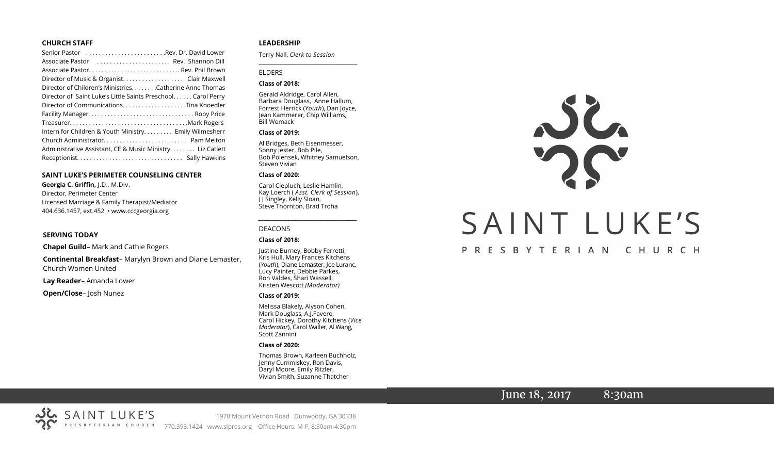#### **CHURCH STAFF**

| Senior Pastor Rev. Dr. David Lower                           |
|--------------------------------------------------------------|
| Associate Pastor (etc Rev. Shannon Dill                      |
|                                                              |
| Director of Music & Organist. Clair Maxwell                  |
| Director of Children's Ministries. Catherine Anne Thomas     |
| Director of Saint Luke's Little Saints Preschool Carol Perry |
| Director of CommunicationsTina Knoedler                      |
|                                                              |
|                                                              |
| Intern for Children & Youth Ministry Emily Wilmesherr        |
|                                                              |
| Administrative Assistant, CE & Music Ministry Liz Catlett    |
|                                                              |

#### **SAINT LUKE'S PERIMETER COUNSELING CENTER**

**Georgia C. Griffin,** J.D., M.Div. Director, Perimeter Center Licensed Marriage & Family Therapist/Mediator 404.636.1457, ext.452 • www.cccgeorgia.org

#### **SERVING TODAY**

**Chapel Guild**– Mark and Cathie Rogers

**Continental Breakfast**– Marylyn Brown and Diane Lemaster, Church Women United

**Lay Reader**– Amanda Lower

**Open/Close**– Josh Nunez

#### **LEADERSHIP**

Terry Nall, *Clerk to Session* 

#### ELDERS

#### **Class of 2018:**

Gerald Aldridge, Carol Allen, Barbara Douglass, Anne Hallum, Forrest Herrick (*Youth*), Dan Joyce, Jean Kammerer, Chip Williams, Bill Womack

**\_\_\_\_\_\_\_\_\_\_\_\_\_\_\_\_\_\_\_\_\_\_\_\_\_\_\_\_\_\_\_\_\_\_\_\_\_\_\_**

#### **Class of 2019:**

Al Bridges, Beth Eisenmesser, Sonny Jester, Bob Pile, Bob Polensek, Whitney Samuelson, Steven Vivian

#### **Class of 2020:**

Carol Ciepluch, Leslie Hamlin, Kay Loerch ( *Asst. Clerk of Session*), J J Singley, Kelly Sloan, Steve Thornton, Brad Troha

*\_\_\_\_\_\_\_\_\_\_\_\_\_\_\_\_\_\_\_\_\_\_\_\_\_\_\_\_\_\_\_\_\_\_\_\_\_*

#### DEACONS

#### **Class of 2018:**

Justine Burney, Bobby Ferretti, Kris Hull, Mary Frances Kitchens (*Youth*), Diane Lemaster, Joe Luranc, Lucy Painter, Debbie Parkes, Ron Valdes, Shari Wassell, Kristen Wescott *(Moderator)*

#### **Class of 2019:**

Melissa Blakely, Alyson Cohen, Mark Douglass, A.J.Favero, Carol Hickey, Dorothy Kitchens (*Vice Moderator*), Carol Waller, Al Wang, Scott Zannini

#### **Class of 2020:**

Thomas Brown, Karleen Buchholz, Jenny Cummiskey, Ron Davis, Daryl Moore, Emily Ritzler, Vivian Smith, Suzanne Thatcher



## June 18, 2017 8:30am

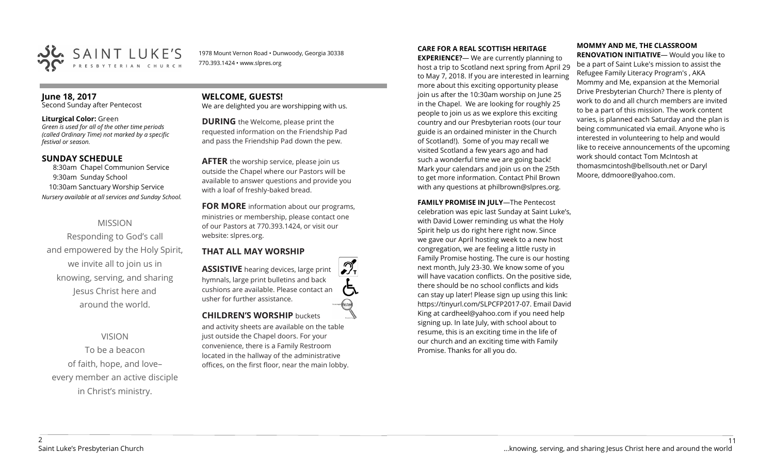

1978 Mount Vernon Road • Dunwoody, Georgia 30338 770.393.1424 • www.slpres.org

## **June 18, 2017**

Second Sunday after Pentecost

#### **Liturgical Color:** Green

*Green is used for all of the other time periods (called Ordinary Time) not marked by a specific festival or season.* 

#### **SUNDAY SCHEDULE**

8:30am Chapel Communion Service 9:30am Sunday School 10:30am Sanctuary Worship Service *Nursery available at all services and Sunday School.*

### MISSION

Responding to God's call and empowered by the Holy Spirit, we invite all to join us in knowing, serving, and sharing Jesus Christ here and around the world.

#### VISION

To be a beacon of faith, hope, and love– every member an active disciple in Christ's ministry.

# **WELCOME, GUESTS!**

We are delighted you are worshipping with us.

**DURING** the Welcome, please print the requested information on the Friendship Pad and pass the Friendship Pad down the pew.

**AFTER** the worship service, please join us outside the Chapel where our Pastors will be available to answer questions and provide you with a loaf of freshly-baked bread.

**FOR MORE** information about our programs, ministries or membership, please contact one of our Pastors at 770.393.1424, or visit our website: slpres.org.

#### **THAT ALL MAY WORSHIP**

**ASSISTIVE** hearing devices, large print hymnals, large print bulletins and back cushions are available. Please contact an usher for further assistance. **CHILDREN'S WORSHIP** buckets

and activity sheets are available on the table just outside the Chapel doors. For your convenience, there is a Family Restroom located in the hallway of the administrative offices, on the first floor, near the main lobby.

#### **CARE FOR A REAL SCOTTISH HERITAGE**

**EXPERIENCE?**— We are currently planning to host a trip to Scotland next spring from April 29 to May 7, 2018. If you are interested in learning more about this exciting opportunity please join us after the 10:30am worship on June 25 in the Chapel. We are looking for roughly 25 people to join us as we explore this exciting country and our Presbyterian roots (our tour guide is an ordained minister in the Church of Scotland!). Some of you may recall we visited Scotland a few years ago and had such a wonderful time we are going back! Mark your calendars and join us on the 25th to get more information. Contact Phil Brown with any questions at philbrown@slpres.org.

**FAMILY PROMISE IN JULY**—The Pentecost celebration was epic last Sunday at Saint Luke's, with David Lower reminding us what the Holy Spirit help us do right here right now. Since we gave our April hosting week to a new host congregation, we are feeling a little rusty in Family Promise hosting. The cure is our hosting next month, July 23-30. We know some of you will have vacation conflicts. On the positive side, there should be no school conflicts and kids can stay up later! Please sign up using this link: [https://tinyurl.com/SLPCFP2017](https://tinyurl.com/SLPCFP2017-07)-07. Email David King at cardheel@yahoo.com if you need help signing up. In late July, with school about to resume, this is an exciting time in the life of our church and an exciting time with Family Promise. Thanks for all you do.

## **MOMMY AND ME, THE CLASSROOM**

**RENOVATION INITIATIVE**— Would you like to be a part of Saint Luke's mission to assist the Refugee Family Literacy Program's , AKA Mommy and Me, expansion at the Memorial Drive Presbyterian Church? There is plenty of work to do and all church members are invited to be a part of this mission. The work content varies, is planned each Saturday and the plan is being communicated via email. Anyone who is interested in volunteering to help and would like to receive announcements of the upcoming work should contact Tom McIntosh at [thomasmcintosh@bellsouth.net](mailto:thomasmcintosh@bellsouth.net) or Daryl Moore, [ddmoore@yahoo.com.](mailto:ddmoore@yahoo.com)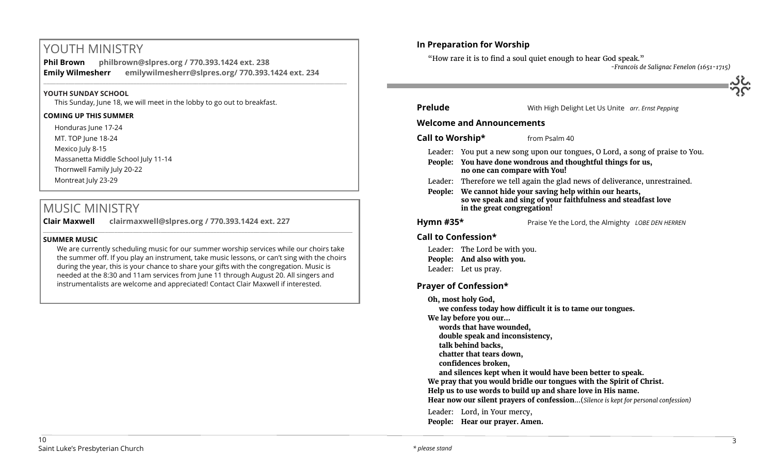## YOUTH MINISTRY

**Phil Brown philbrown@slpres.org / 770.393.1424 ext. 238 Emily Wilmesherr emilywilmesherr@slpres.org/ 770.393.1424 ext. 234**   $\_$  ,  $\_$  ,  $\_$  ,  $\_$  ,  $\_$  ,  $\_$  ,  $\_$  ,  $\_$  ,  $\_$  ,  $\_$  ,  $\_$  ,  $\_$  ,  $\_$  ,  $\_$  ,  $\_$  ,  $\_$  ,  $\_$  ,  $\_$  ,  $\_$  ,  $\_$ 

#### **YOUTH SUNDAY SCHOOL**

This Sunday, June 18, we will meet in the lobby to go out to breakfast.

#### **COMING UP THIS SUMMER**

Honduras June 17-24 MT. TOP June 18-24 Mexico July 8-15 Massanetta Middle School July 11-14 Thornwell Family July 20-22 Montreat July 23-29

## MUSIC MINISTRY

**Clair Maxwell clairmaxwell@slpres.org / 770.393.1424 ext. 227**   $\_$  , and the set of the set of the set of the set of the set of the set of the set of the set of the set of the set of the set of the set of the set of the set of the set of the set of the set of the set of the set of th

#### **SUMMER MUSIC**

We are currently scheduling music for our summer worship services while our choirs take the summer off. If you play an instrument, take music lessons, or can't sing with the choirs during the year, this is your chance to share your gifts with the congregation. Music is needed at the 8:30 and 11am services from June 11 through August 20. All singers and instrumentalists are welcome and appreciated! Contact Clair Maxwell if interested.

## **In Preparation for Worship**

"How rare it is to find a soul quiet enough to hear God speak."

*-Francois de Salignac Fenelon (1651-1715)*

| <b>Prelude</b>                                                                                                                                                                                |                                                                                                                                                                                                                                 | With High Delight Let Us Unite arr. Ernst Pepping |  |
|-----------------------------------------------------------------------------------------------------------------------------------------------------------------------------------------------|---------------------------------------------------------------------------------------------------------------------------------------------------------------------------------------------------------------------------------|---------------------------------------------------|--|
| <b>Welcome and Announcements</b>                                                                                                                                                              |                                                                                                                                                                                                                                 |                                                   |  |
| Call to Worship*                                                                                                                                                                              |                                                                                                                                                                                                                                 | from Psalm 40                                     |  |
|                                                                                                                                                                                               | Leader: You put a new song upon our tongues, O Lord, a song of praise to You.<br>People: You have done wondrous and thoughtful things for us,<br>no one can compare with You!                                                   |                                                   |  |
| People:                                                                                                                                                                                       | Leader: Therefore we tell again the glad news of deliverance, unrestrained.<br>We cannot hide your saving help within our hearts,<br>so we speak and sing of your faithfulness and steadfast love<br>in the great congregation! |                                                   |  |
| Hymn $#35*$                                                                                                                                                                                   |                                                                                                                                                                                                                                 | Praise Ye the Lord, the Almighty LOBE DEN HERREN  |  |
| Call to Confession*                                                                                                                                                                           |                                                                                                                                                                                                                                 |                                                   |  |
|                                                                                                                                                                                               | Leader: The Lord be with you.                                                                                                                                                                                                   |                                                   |  |
|                                                                                                                                                                                               | People: And also with you.                                                                                                                                                                                                      |                                                   |  |
|                                                                                                                                                                                               | Leader: Let us pray.                                                                                                                                                                                                            |                                                   |  |
| <b>Prayer of Confession*</b>                                                                                                                                                                  |                                                                                                                                                                                                                                 |                                                   |  |
| Oh, most holy God,<br>we confess today how difficult it is to tame our tongues.<br>We lay before you our<br>words that have wounded,<br>double speak and inconsistency,<br>talk behind backs, |                                                                                                                                                                                                                                 |                                                   |  |
| chatter that tears down,                                                                                                                                                                      |                                                                                                                                                                                                                                 |                                                   |  |

**confidences broken,** 

**and silences kept when it would have been better to speak.** 

**We pray that you would bridle our tongues with the Spirit of Christ.** 

**Help us to use words to build up and share love in His name.** 

**Hear now our silent prayers of confession**...(*Silence is kept for personal confession)* 

Leader: Lord, in Your mercy, **People: Hear our prayer. Amen.**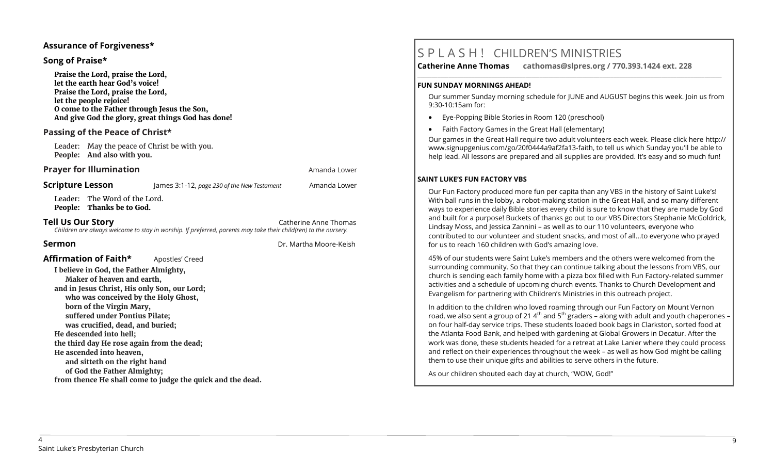#### **Assurance of Forgiveness\***

#### **Song of Praise\***

**Praise the Lord, praise the Lord, let the earth hear God's voice! Praise the Lord, praise the Lord, let the people rejoice! O come to the Father through Jesus the Son, And give God the glory, great things God has done!** 

#### **Passing of the Peace of Christ\***

Leader: May the peace of Christ be with you. **People: And also with you.**

#### **Prayer for Illumination Amanda Lower Amanda Lower Amanda Lower**

Leader: The Word of the Lord. **People: Thanks be to God.**

**Tell Us Our Story Catherine Anne Thomas Catherine Anne Thomas Catherine Anne Thomas** *Children are always welcome to stay in worship. If preferred, parents may take their child(ren) to the nursery.*

**Scripture Lesson** James 3:1-12, *page 230 of the New Testament* Amanda Lower

**Sermon** Dr. Martha Moore-Keish

## **Affirmation of Faith\*** Apostles' Creed

**I believe in God, the Father Almighty, Maker of heaven and earth, and in Jesus Christ, His only Son, our Lord; who was conceived by the Holy Ghost, born of the Virgin Mary, suffered under Pontius Pilate; was crucified, dead, and buried; He descended into hell; the third day He rose again from the dead; He ascended into heaven, and sitteth on the right hand of God the Father Almighty; from thence He shall come to judge the quick and the dead.**

## S P L A S H ! CHILDREN'S MINISTRIES

**Catherine Anne Thomas cathomas@slpres.org / 770.393.1424 ext. 228 \_\_\_\_\_\_\_\_\_\_\_\_\_\_\_\_\_\_\_\_\_\_\_\_\_\_\_\_\_\_\_\_\_\_\_\_\_\_\_\_\_\_\_\_\_\_\_\_\_\_\_\_\_\_\_\_\_\_\_\_\_\_\_\_\_\_\_\_\_\_\_\_\_\_\_\_\_\_\_\_\_\_\_\_\_\_\_\_\_\_\_\_\_\_\_\_\_\_\_\_\_\_\_\_\_\_\_** 

#### **FUN SUNDAY MORNINGS AHEAD!**

Our summer Sunday morning schedule for JUNE and AUGUST begins this week. Join us from 9:30-10:15am for:

- Eye-Popping Bible Stories in Room 120 (preschool)
- Faith Factory Games in the Great Hall (elementary)

Our games in the Great Hall require two adult volunteers each week. Please click here [http://](http://www.signupgenius.com/go/20f0444a9af2fa13-faith) [www.signupgenius.com/go/20f0444a9af2fa13](http://www.signupgenius.com/go/20f0444a9af2fa13-faith)-faith, to tell us which Sunday you'll be able to help lead. All lessons are prepared and all supplies are provided. It's easy and so much fun!

#### **SAINT LUKE'S FUN FACTORY VBS**

Our Fun Factory produced more fun per capita than any VBS in the history of Saint Luke's! With ball runs in the lobby, a robot-making station in the Great Hall, and so many different ways to experience daily Bible stories every child is sure to know that they are made by God and built for a purpose! Buckets of thanks go out to our VBS Directors Stephanie McGoldrick, Lindsay Moss, and Jessica Zannini – as well as to our 110 volunteers, everyone who contributed to our volunteer and student snacks, and most of all…to everyone who prayed for us to reach 160 children with God's amazing love.

45% of our students were Saint Luke's members and the others were welcomed from the surrounding community. So that they can continue talking about the lessons from VBS, our church is sending each family home with a pizza box filled with Fun Factory-related summer activities and a schedule of upcoming church events. Thanks to Church Development and Evangelism for partnering with Children's Ministries in this outreach project.

In addition to the children who loved roaming through our Fun Factory on Mount Vernon road, we also sent a group of 21  $4<sup>th</sup>$  and  $5<sup>th</sup>$  graders – along with adult and youth chaperones – on four half-day service trips. These students loaded book bags in Clarkston, sorted food at the Atlanta Food Bank, and helped with gardening at Global Growers in Decatur. After the work was done, these students headed for a retreat at Lake Lanier where they could process and reflect on their experiences throughout the week – as well as how God might be calling them to use their unique gifts and abilities to serve others in the future.

As our children shouted each day at church, "WOW, God!"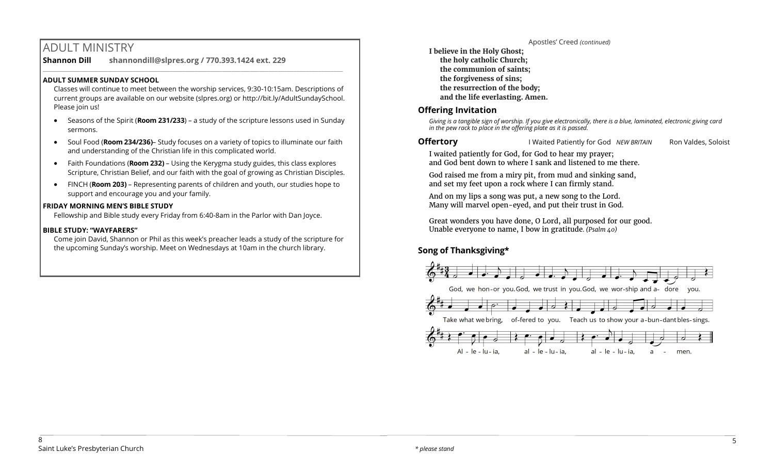## ADULT MINISTRY

**Shannon Dill shannondill@slpres.org / 770.393.1424 ext. 229**   $\_$  ,  $\_$  ,  $\_$  ,  $\_$  ,  $\_$  ,  $\_$  ,  $\_$  ,  $\_$  ,  $\_$  ,  $\_$  ,  $\_$  ,  $\_$  ,  $\_$  ,  $\_$  ,  $\_$  ,  $\_$  ,  $\_$  ,  $\_$  ,  $\_$ 

### **ADULT SUMMER SUNDAY SCHOOL**

Classes will continue to meet between the worship services, 9:30-10:15am. Descriptions of current groups are available on our website (slpres.org) or http://bit.ly/AdultSundaySchool. Please join us!

- Seasons of the Spirit (**Room 231/233**) a study of the scripture lessons used in Sunday sermons.
- Soul Food (**Room 234/236)** Study focuses on a variety of topics to illuminate our faith and understanding of the Christian life in this complicated world.
- Faith Foundations (**Room 232)**  Using the Kerygma study guides, this class explores Scripture, Christian Belief, and our faith with the goal of growing as Christian Disciples.
- FINCH (**Room 203)** Representing parents of children and youth, our studies hope to support and encourage you and your family.

#### **FRIDAY MORNING MEN'S BIBLE STUDY**

Fellowship and Bible study every Friday from 6:40-8am in the Parlor with Dan Joyce.

#### **BIBLE STUDY: "WAYFARERS"**

Come join David, Shannon or Phil as this week's preacher leads a study of the scripture for the upcoming Sunday's worship. Meet on Wednesdays at 10am in the church library.

Apostles' Creed *(continued)* **I believe in the Holy Ghost; the holy catholic Church; the communion of saints; the forgiveness of sins; the resurrection of the body; and the life everlasting. Amen.**

### **Offering Invitation**

*Giving is a tangible sign of worship. If you give electronically, there is a blue, laminated, electronic giving card in the pew rack to place in the offering plate as it is passed.*

**Offertory I** Waited Patiently for God *NEW BRITAIN* Ron Valdes, Soloist

I waited patiently for God, for God to hear my prayer; and God bent down to where I sank and listened to me there.

God raised me from a miry pit, from mud and sinking sand, and set my feet upon a rock where I can firmly stand.

And on my lips a song was put, a new song to the Lord. Many will marvel open-eyed, and put their trust in God.

Great wonders you have done, O Lord, all purposed for our good. Unable everyone to name, I bow in gratitude*. (Psalm 40)* 

## **Song of Thanksgiving\***